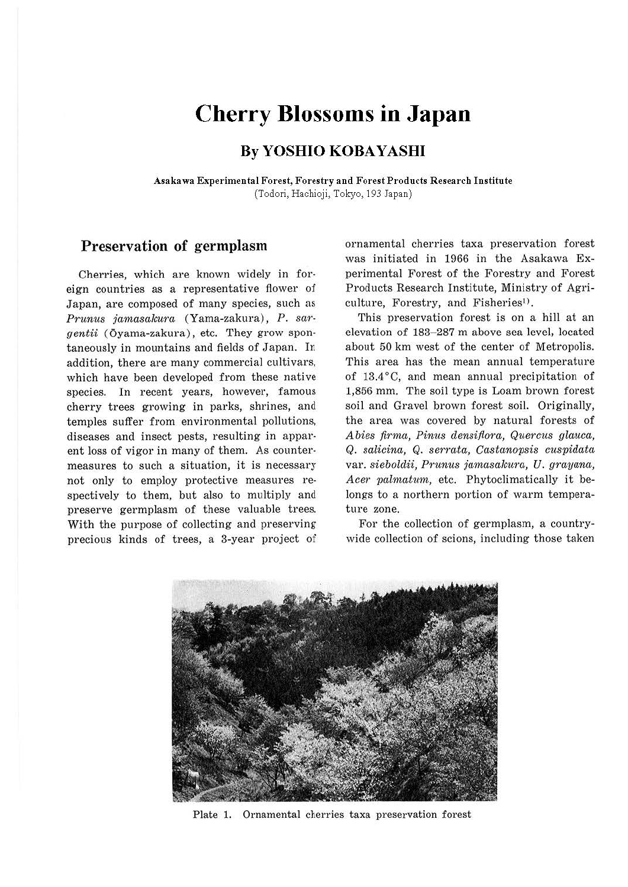# **Cherry Blossoms in Japan**

### **By YOSHIO KOBAYASHI**

**Asakawa Experimental Forest, Forestry and Forest Products Research Institute**  (Todori,Hachioji, Tokyo, 193 Japan)

#### **Preservation of germplasm**

Cherries, which are known widely in foreign countries as a representative flower of Japan, are composed of many species, such as *Prunus jamasakura* (Yama-zakura), *P. sargentii* (Oyama-zakura), etc. They grow spontaneously in mountains and fields of Japan. In addition, there are many commercial cultivars, which have been developed from these native species. In recent years, however, famous cherry trees growing in parks, shrines, and temples suffer from environmental pollutions, diseases and insect pests, resulting in apparent loss of vigor in many of them. As countermeasures to such a situation, it is necessary not only to employ protective measures respectively to them, but also to multiply and preserve germplasm of these valuable trees. With the purpose of collecting and preserving precious kinds of trees, a 3-year project of

ornamental cherries taxa preservation forest was initiated in 1966 in the Asakawa Experimental Forest of the Forestry and Forest Products Research Institute, Ministry of Agriculture, Forestry, and Fisheries<sup>1)</sup>.

This preservation forest is on a hill at an elevation of 183-287 m above sea level, located about 50 km west of the center of Metropolis. This area has the mean annual temperature of 13.4°C, and mean annual precipitation of 1,856 mm. The soil type is Loam brown forest soil and Gravel brown forest soil. Originally, the area was covered by natural forests of  $A$ *bies firma, Pinus densiflora, Quercus glauca,* Q. *salicina,* Q. *serrata, Castanopsis cuspidata*  var. *sieboldii, Prunus jamasakura, U. grayana, Acer palmatum,* etc. Phytoclimatically it belongs to a northern portion of warm temperature zone.

For the collection of germplasm, a countrywide collection of scions, including those taken



Plate 1. Ornamental cherries taxa preservation forest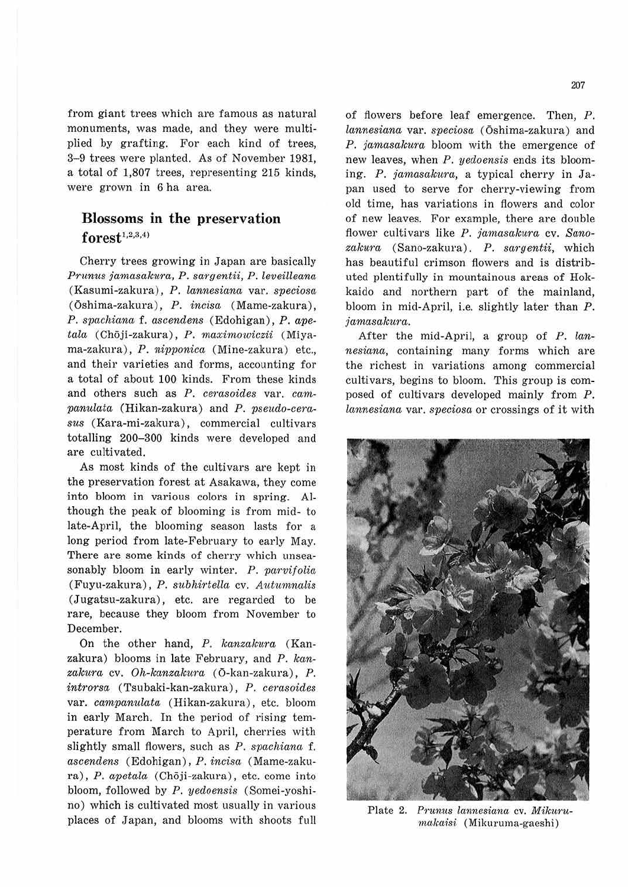from giant trees which are famous as natural monuments, was made, and they were multiplied by grafting. For each kind of trees, 3-9 trees were planted. As of November 1981, a total of 1,807 trees, representing 215 kinds, were grown in 6 ha area.

## **Blossoms in the preservation**   ${\bf forest}^{1,2,3,4)}$

Cherry trees growing in Japan are basically *Prunus jamasakura,* P. *sargentii,* P. *leveilleana*  (Kasumi-zakura), P. *lannesiana* var. *speciosa*  (Oshima-zakura), *P. incisa* (Mame-zakura), P. *spachiana* f. *ascendens* (Edohigan), P. *apetala* (Choji-zakura) , *P. maximowiczii* (Miyama-zakura), *P. nipponica* (Mine-zakura) etc., and their varieties and forms, accounting for a total of about 100 kinds. From these kinds and others such as P. *cerasoides* var. *campanulata* (Hikan-zakura) and P. *pseudo-cerasus* (Kara-mi-zakura), commercial cultivars totalling 200-300 kinds were developed and are cultivated.

As most kinds of the cultivars are kept in the preservation forest at Asakawa, they come into bloom in various colors in spring. Although the peak of blooming is from mid- to late-April, the blooming season lasts for a long period from late-February to early May. There are some kinds of cherry which unseasonably bloom in early winter. P. *parvifolia*  (Fuyu-zakura), P. subhirtella cv. Autumnalis (Jugatsu-zakura), etc. are regarded to be rare, because they bloom from November to December.

On the other hand, *P. kanzakura* (Kanzakura) blooms in late February, and P. *kanzalcura* cv. *Oh-kanzakura* ( 0-kan-zakura), P. *introrsa* (Tsubaki-kan-zakura), *P. cerasoides*  var. *campanulata* (Hikan-zakura) , etc. bloom in early March. In the period of rising temperature from March to April, chenies with slightly small flowers, such as P. *svachiana* f. *ascendens* (Edohigan) , P. *incisa* (Mame-zakura), P. *apetala* (Choji-zakura), etc. come into bloom, followed by *P. yedoensis* (Somei-yoshino) which is cultivated most usually in various places of Japan, and blooms with shoots full of flowers before leaf emergence. Then, P. *lannesiana* var. *speciosa* (Oshima-zakura) and *P. jamasakura* bloom with the emergence of new leaves, when P. *yedoensis* ends its blooming. P. *jamasalcura,* a typical cherry in Ja- pan used to serve for cherry-viewing from old time, has variations in flowers and color of new leaves. For example, there are double flower cultivars like *P. jamasakura* cv. *Sanozakura* (Sano-zakura). P. *sargentii,* which has beautiful crimson flowers and is distributed plentifully in mountainous areas of Hokkaido and northern part of the mainland, bloom in mid-April, i.e. slightly later than P. *,iamasakura.* 

After the mid-April, a group of P. *lannesiana,* containing many forms which are the richest in variations among commercial cultivars, begins to bloom. This group is composed of cultivars developed mainly from P. *lannesiana* var. *speciosa* or crossings of it with



Plate 2. *Prunus lannesiana* cv. *Mikuru-11ia,kaisi* (Mikuruma-gaeshi)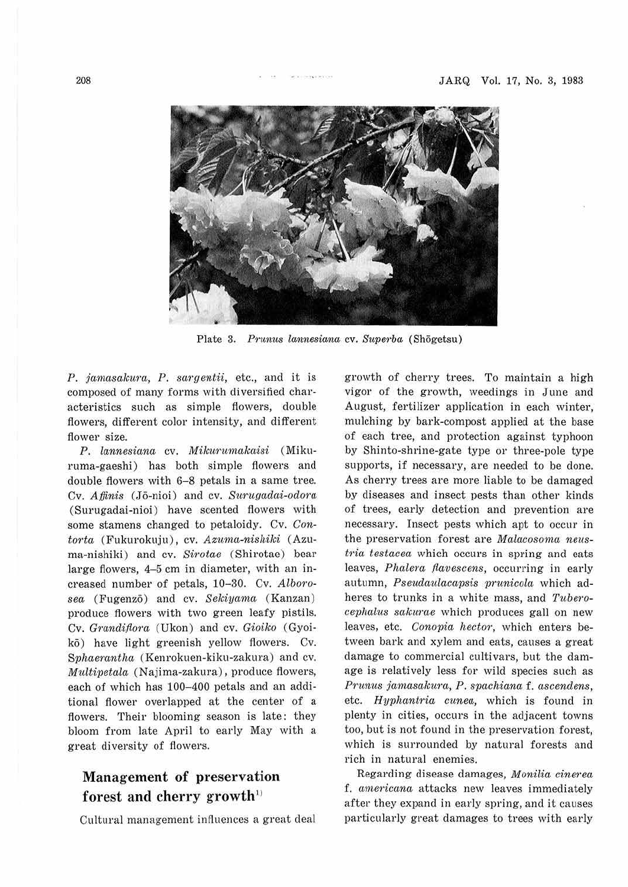

Plate 3. *Prunus lannesiana* cv. *Superba* (Shogetsu)

*P. jamasa/cura, P. sargentii,* etc., and it is composed of many forms with diversified characteristics such as simple flowers, double flowers, different color intensity, and different flower size.

P. *lannesiana* cv. *Milcitrimialcaisi* (Mikuruma-gaeshi) bas both simple flowers and double flowers with 6-8 petals in a same tree. Cv. *Affinis* (Jō-nioi) and cv. *Surugadai-odora* (Surugadai-nioi) have scented flowers with some stamens changed to petaloidy. Cv. *Contorta* (Fukurokuju), cv. *Azumci-nishilci* (Azuma-nishiki) and cv. *Sirotae* (Shirotae) bear large flowers, 4-5 cm in diameter, with an increased number of petals, 10-30. Cv. Alboro*sea* (Fugenzō) and cv. *Sekiyama* (Kanzan) produce flowers with two green leafy pistils. Cv. *Granclif(.ora* (Ukon ) and cv. *Gioilco* (Gyoikō) have light greenish yellow flowers. Cv. *Sphaerantha* (Kenrokuen-kiku-zakura) and cv. *Multivetala* (Najima-zakura) , produce flowers, each of which has 100-400 petals and an additional flower overlapped at the center of a flowers. Their blooming season is late: they bloom from late April to early May with a great diversity of flowers.

### **Management of preservation**  forest and cherry growth<sup>11</sup>

Cultural management influences a great deal

growth of cherry trees. To maintain a high vigor of the growth, weedings in June and August, fertilizer application in each winter, mulching by bark-compost applied at the base of each tree, and protection against typhoon by Shinto-shrine-gate type or three-pole type supports, if necessary, are needed to be done. As cherry trees are more liable to be damaged by diseases and insect pests than other kinds of trees, early detection and prevention are necessary. Insect pests which apt to occur in the preservation forest are *Malacosoma neustria testacea* which occurs in spring and eats leaves, *Phalera flavescens,* occurring in early autumn, Pseudaulacapsis prunicola which adheres to trunks in a white mass, and *Tuberocevhalus sakurne* which produces gall on new leaves, etc. *Conopia hector,* which enters between bark and xylem and eats, causes a great damage to commercial cultivars, but the damage is relatively less for wild species such as  $Prunus$  *jamasakura, P. spachiana* f. *ascendens,* etc. *Hyphantria cunea,* which is found in plenty in cities, occurs in the adjacent towns too, but is not found in the preservation forest, which is surrounded by natural forests and rich in natural enemies.

Regarding disease damages, *Monilia cinerea*  f. *americcina* attacks new leaves immediately after they expand in early spring, and it causes particularly great damages to trees with early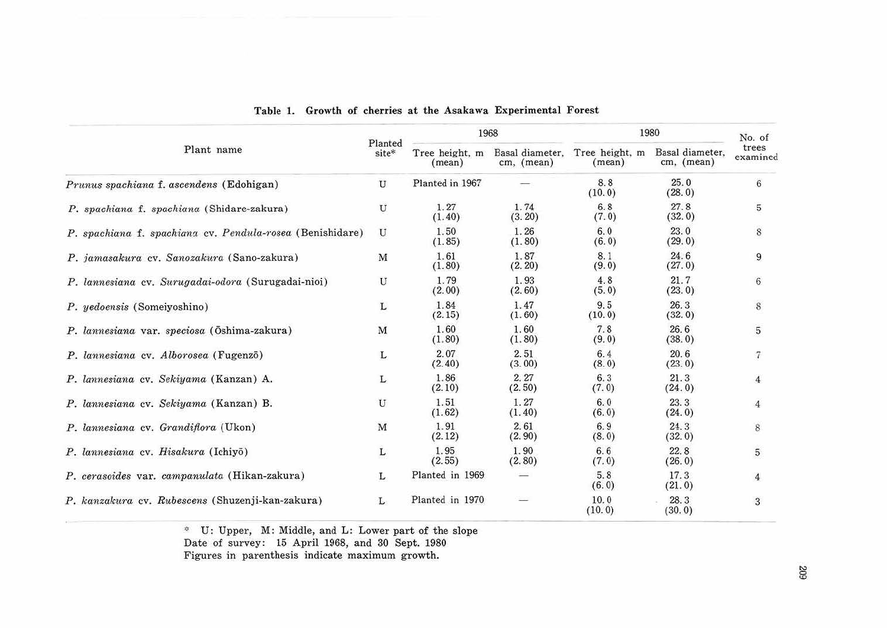| Plant name                                                | Planted<br>site* | 1968                     |                               | 1980                     |                               | No. of            |
|-----------------------------------------------------------|------------------|--------------------------|-------------------------------|--------------------------|-------------------------------|-------------------|
|                                                           |                  | Tree height, m<br>(mean) | Basal diameter,<br>cm, (mean) | Tree height, m<br>(mean) | Basal diameter,<br>cm, (mean) | trees<br>examined |
| Prunus spachiana f. ascendens (Edohigan)                  | U                | Planted in 1967          |                               | 8.8<br>(10.0)            | 25.0<br>(28.0)                | 6                 |
| P. spachiana f. spachiana (Shidare-zakura)                | U                | 1.27<br>(1.40)           | 1.74<br>(3.20)                | 6.8<br>(7.0)             | 27.8<br>(32.0)                | 5                 |
| P. spachiana f. spachiana cv. Pendula-rosea (Benishidare) | U                | 1.50<br>(1.85)           | 1.26<br>(1.80)                | 6.0<br>(6.0)             | 23.0<br>(29.0)                | 8                 |
| P. jamasakura cv. Sanozakura (Sano-zakura)                | M                | 1.61<br>(1.80)           | 1.87<br>(2.20)                | 8.1<br>(9.0)             | 24.6<br>(27.0)                | 9                 |
| P. lannesiana cv. Surugadai-odora (Surugadai-nioi)        | U                | 1.79<br>(2.00)           | 1.93<br>(2.60)                | 4.8<br>(5.0)             | 21.7<br>(23.0)                | 6                 |
| P. yedoensis (Someiyoshino)                               | L                | 1.84<br>(2.15)           | 1.47<br>(1.60)                | 9.5<br>(10.0)            | 26.3<br>(32.0)                | $8\,$             |
| P. lannesiana var. speciosa (Öshima-zakura)               | M                | 1.60<br>(1.80)           | 1.60<br>(1.80)                | 7.8<br>(9.0)             | 26.6<br>(38.0)                | 5                 |
| P. lannesiana cv. Alborosea (Fugenzō)                     | L                | 2.07<br>(2.40)           | 2.51<br>(3.00)                | 6.4<br>(8.0)             | 20.6<br>(23.0)                | 7                 |
| P. lannesiana cv. Sekiyama (Kanzan) A.                    | L                | 1.86<br>(2.10)           | 2.27<br>(2.50)                | 6.3<br>(7.0)             | 21.3<br>(24.0)                | 4                 |
| P. lannesiana cv. Sekiyama (Kanzan) B.                    | U                | 1.51<br>(1.62)           | 1.27<br>(1.40)                | 6.0<br>(6.0)             | 23.3<br>(24.0)                | 4                 |
| P. lannesiana cv. Grandiflora (Ukon)                      | M                | 1.91<br>(2.12)           | 2.61<br>(2.90)                | 6.9<br>(8.0)             | 24.3<br>(32.0)                | 8                 |
| P. lannesiana cv. Hisakura (Ichiyō)                       | L                | 1.95<br>(2.55)           | 1.90<br>(2.80)                | 6.6<br>(7.0)             | 22.8<br>(26.0)                | 5                 |
| P. cerasoides var. campanulata (Hikan-zakura)             | L                | Planted in 1969          |                               | 5.8<br>(6.0)             | 17.3<br>(21.0)                | 4                 |
| P. kanzakura cv. Rubescens (Shuzenji-kan-zakura)          | L                | Planted in 1970          |                               | 10.0<br>(10.0)           | 28.3<br>(30.0)                | 3                 |

#### Table 1. Growth of cherries at the Asakawa Experimental Forest

- - " U: Upper, M: Middle, and L: Lower part of the slope Date of survey: 15 April 1968, and 30 Sept. 1980 Figures in parenthesis indicate maximum growth.